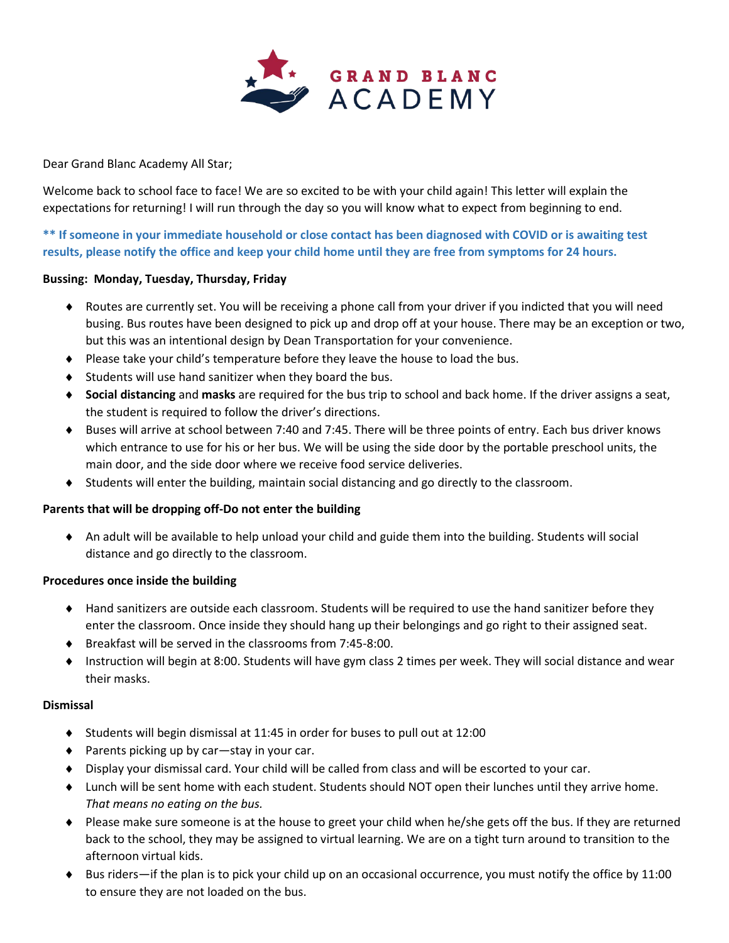

Dear Grand Blanc Academy All Star;

Welcome back to school face to face! We are so excited to be with your child again! This letter will explain the expectations for returning! I will run through the day so you will know what to expect from beginning to end.

**\*\* If someone in your immediate household or close contact has been diagnosed with COVID or is awaiting test results, please notify the office and keep your child home until they are free from symptoms for 24 hours.** 

#### **Bussing: Monday, Tuesday, Thursday, Friday**

- ♦ Routes are currently set. You will be receiving a phone call from your driver if you indicted that you will need busing. Bus routes have been designed to pick up and drop off at your house. There may be an exception or two, but this was an intentional design by Dean Transportation for your convenience.
- ♦ Please take your child's temperature before they leave the house to load the bus.
- ♦ Students will use hand sanitizer when they board the bus.
- ♦ **Social distancing** and **masks** are required for the bus trip to school and back home. If the driver assigns a seat, the student is required to follow the driver's directions.
- ♦ Buses will arrive at school between 7:40 and 7:45. There will be three points of entry. Each bus driver knows which entrance to use for his or her bus. We will be using the side door by the portable preschool units, the main door, and the side door where we receive food service deliveries.
- ♦ Students will enter the building, maintain social distancing and go directly to the classroom.

#### **Parents that will be dropping off-Do not enter the building**

♦ An adult will be available to help unload your child and guide them into the building. Students will social distance and go directly to the classroom.

#### **Procedures once inside the building**

- ♦ Hand sanitizers are outside each classroom. Students will be required to use the hand sanitizer before they enter the classroom. Once inside they should hang up their belongings and go right to their assigned seat.
- ♦ Breakfast will be served in the classrooms from 7:45-8:00.
- ♦ Instruction will begin at 8:00. Students will have gym class 2 times per week. They will social distance and wear their masks.

#### **Dismissal**

- ♦ Students will begin dismissal at 11:45 in order for buses to pull out at 12:00
- ♦ Parents picking up by car—stay in your car.
- ♦ Display your dismissal card. Your child will be called from class and will be escorted to your car.
- ♦ Lunch will be sent home with each student. Students should NOT open their lunches until they arrive home. *That means no eating on the bus.*
- ♦ Please make sure someone is at the house to greet your child when he/she gets off the bus. If they are returned back to the school, they may be assigned to virtual learning. We are on a tight turn around to transition to the afternoon virtual kids.
- ♦ Bus riders—if the plan is to pick your child up on an occasional occurrence, you must notify the office by 11:00 to ensure they are not loaded on the bus.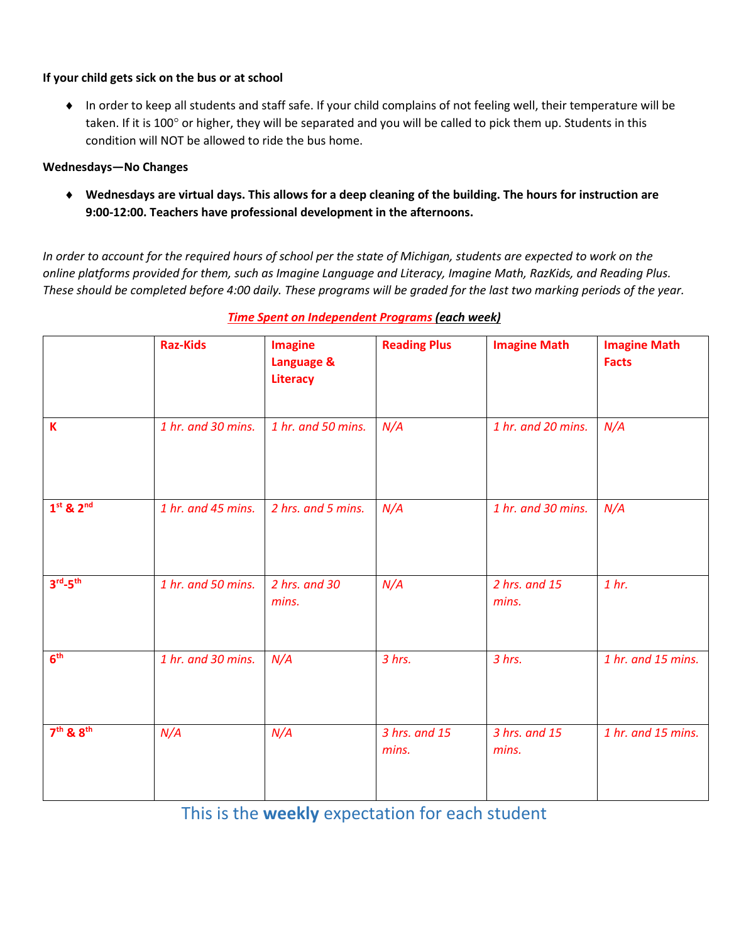## **If your child gets sick on the bus or at school**

♦ In order to keep all students and staff safe. If your child complains of not feeling well, their temperature will be taken. If it is 100° or higher, they will be separated and you will be called to pick them up. Students in this condition will NOT be allowed to ride the bus home.

## **Wednesdays—No Changes**

♦ **Wednesdays are virtual days. This allows for a deep cleaning of the building. The hours for instruction are 9:00-12:00. Teachers have professional development in the afternoons.**

*In order to account for the required hours of school per the state of Michigan, students are expected to work on the online platforms provided for them, such as Imagine Language and Literacy, Imagine Math, RazKids, and Reading Plus. These should be completed before 4:00 daily. These programs will be graded for the last two marking periods of the year.*

|                                   | <b>Raz-Kids</b>    | <b>Imagine</b><br>Language &<br><b>Literacy</b> | <b>Reading Plus</b>    | <b>Imagine Math</b>    | <b>Imagine Math</b><br><b>Facts</b> |
|-----------------------------------|--------------------|-------------------------------------------------|------------------------|------------------------|-------------------------------------|
| K                                 | 1 hr. and 30 mins. | 1 hr. and 50 mins.                              | N/A                    | 1 hr. and 20 mins.     | N/A                                 |
| $1st$ & $2nd$                     | 1 hr. and 45 mins. | 2 hrs. and 5 mins.                              | N/A                    | 1 hr. and 30 mins.     | N/A                                 |
| $3rd-5th$                         | 1 hr. and 50 mins. | 2 hrs. and 30<br>mins.                          | N/A                    | 2 hrs. and 15<br>mins. | 1 hr.                               |
| 6 <sup>th</sup>                   | 1 hr. and 30 mins. | N/A                                             | 3 hrs.                 | 3 hrs.                 | 1 hr. and 15 mins.                  |
| 7 <sup>th</sup> & 8 <sup>th</sup> | N/A                | N/A                                             | 3 hrs. and 15<br>mins. | 3 hrs. and 15<br>mins. | 1 hr. and 15 mins.                  |

# *Time Spent on Independent Programs (each week)*

This is the **weekly** expectation for each student